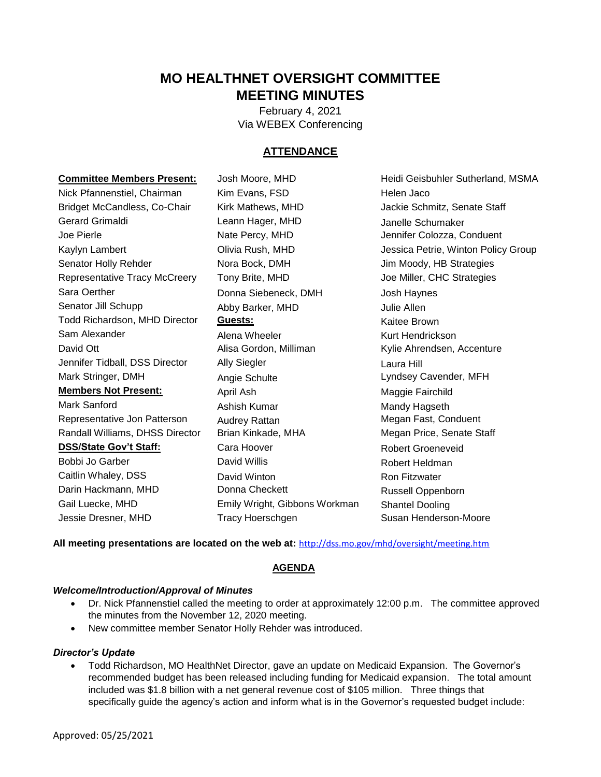# **MO HEALTHNET OVERSIGHT COMMITTEE MEETING MINUTES**

February 4, 2021 Via WEBEX Conferencing

## **ATTENDANCE**

| <b>Committee Members Present:</b> | Josh Moore, MHD               | Heidi Geisbuhler Sutherland, MSMA   |
|-----------------------------------|-------------------------------|-------------------------------------|
| Nick Pfannenstiel, Chairman       | Kim Evans, FSD                | Helen Jaco                          |
| Bridget McCandless, Co-Chair      | Kirk Mathews, MHD             | Jackie Schmitz, Senate Staff        |
| <b>Gerard Grimaldi</b>            | Leann Hager, MHD              | Janelle Schumaker                   |
| Joe Pierle                        | Nate Percy, MHD               | Jennifer Colozza, Conduent          |
| Kaylyn Lambert                    | Olivia Rush, MHD              | Jessica Petrie, Winton Policy Group |
| Senator Holly Rehder              | Nora Bock, DMH                | Jim Moody, HB Strategies            |
| Representative Tracy McCreery     | Tony Brite, MHD               | Joe Miller, CHC Strategies          |
| Sara Oerther                      | Donna Siebeneck, DMH          | Josh Haynes                         |
| Senator Jill Schupp               | Abby Barker, MHD              | Julie Allen                         |
| Todd Richardson, MHD Director     | Guests:                       | Kaitee Brown                        |
| Sam Alexander                     | Alena Wheeler                 | Kurt Hendrickson                    |
| David Ott                         | Alisa Gordon, Milliman        | Kylie Ahrendsen, Accenture          |
| Jennifer Tidball, DSS Director    | <b>Ally Siegler</b>           | Laura Hill                          |
| Mark Stringer, DMH                | Angie Schulte                 | Lyndsey Cavender, MFH               |
| <b>Members Not Present:</b>       | April Ash                     | Maggie Fairchild                    |
| Mark Sanford                      | Ashish Kumar                  | Mandy Hagseth                       |
| Representative Jon Patterson      | Audrey Rattan                 | Megan Fast, Conduent                |
| Randall Williams, DHSS Director   | Brian Kinkade, MHA            | Megan Price, Senate Staff           |
| <b>DSS/State Gov't Staff:</b>     | Cara Hoover                   | <b>Robert Groeneveid</b>            |
| Bobbi Jo Garber                   | David Willis                  | Robert Heldman                      |
| Caitlin Whaley, DSS               | David Winton                  | Ron Fitzwater                       |
| Darin Hackmann, MHD               | Donna Checkett                | Russell Oppenborn                   |
| Gail Luecke, MHD                  | Emily Wright, Gibbons Workman | <b>Shantel Dooling</b>              |
| Jessie Dresner, MHD               | Tracy Hoerschgen              | Susan Henderson-Moore               |

**All meeting presentations are located on the web at:** <http://dss.mo.gov/mhd/oversight/meeting.htm>

## **AGENDA**

#### *Welcome/Introduction/Approval of Minutes*

- Dr. Nick Pfannenstiel called the meeting to order at approximately 12:00 p.m. The committee approved the minutes from the November 12, 2020 meeting.
- New committee member Senator Holly Rehder was introduced.

#### *Director's Update*

 Todd Richardson, MO HealthNet Director, gave an update on Medicaid Expansion. The Governor's recommended budget has been released including funding for Medicaid expansion. The total amount included was \$1.8 billion with a net general revenue cost of \$105 million. Three things that specifically guide the agency's action and inform what is in the Governor's requested budget include: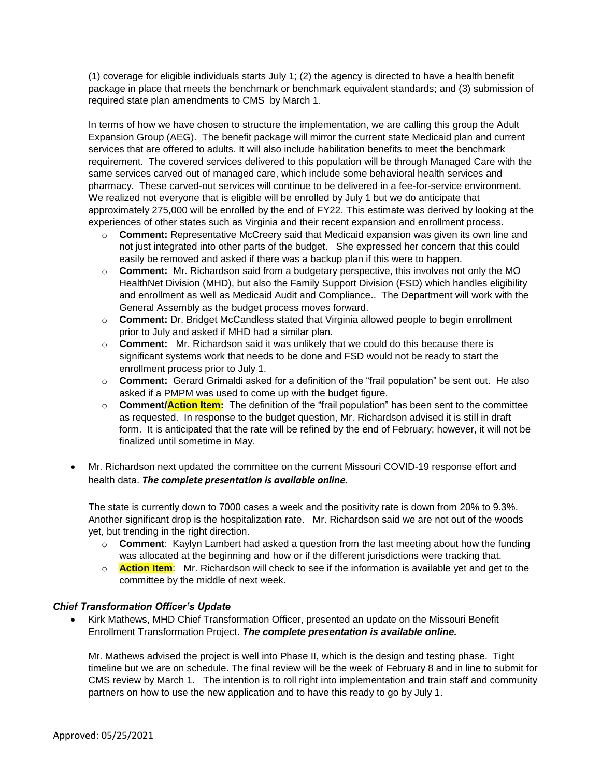(1) coverage for eligible individuals starts July 1; (2) the agency is directed to have a health benefit package in place that meets the benchmark or benchmark equivalent standards; and (3) submission of required state plan amendments to CMS by March 1.

In terms of how we have chosen to structure the implementation, we are calling this group the Adult Expansion Group (AEG). The benefit package will mirror the current state Medicaid plan and current services that are offered to adults. It will also include habilitation benefits to meet the benchmark requirement. The covered services delivered to this population will be through Managed Care with the same services carved out of managed care, which include some behavioral health services and pharmacy. These carved-out services will continue to be delivered in a fee-for-service environment. We realized not everyone that is eligible will be enrolled by July 1 but we do anticipate that approximately 275,000 will be enrolled by the end of FY22. This estimate was derived by looking at the experiences of other states such as Virginia and their recent expansion and enrollment process.

- o **Comment:** Representative McCreery said that Medicaid expansion was given its own line and not just integrated into other parts of the budget. She expressed her concern that this could easily be removed and asked if there was a backup plan if this were to happen.
- o **Comment:** Mr. Richardson said from a budgetary perspective, this involves not only the MO HealthNet Division (MHD), but also the Family Support Division (FSD) which handles eligibility and enrollment as well as Medicaid Audit and Compliance.. The Department will work with the General Assembly as the budget process moves forward.
- o **Comment:** Dr. Bridget McCandless stated that Virginia allowed people to begin enrollment prior to July and asked if MHD had a similar plan.
- o **Comment:** Mr. Richardson said it was unlikely that we could do this because there is significant systems work that needs to be done and FSD would not be ready to start the enrollment process prior to July 1.
- o **Comment:** Gerard Grimaldi asked for a definition of the "frail population" be sent out. He also asked if a PMPM was used to come up with the budget figure.
- o **Comment/Action Item:** The definition of the "frail population" has been sent to the committee as requested. In response to the budget question, Mr. Richardson advised it is still in draft form. It is anticipated that the rate will be refined by the end of February; however, it will not be finalized until sometime in May.
- Mr. Richardson next updated the committee on the current Missouri COVID-19 response effort and health data. *The complete presentation is available online.*

The state is currently down to 7000 cases a week and the positivity rate is down from 20% to 9.3%. Another significant drop is the hospitalization rate. Mr. Richardson said we are not out of the woods yet, but trending in the right direction.

- o **Comment**: Kaylyn Lambert had asked a question from the last meeting about how the funding was allocated at the beginning and how or if the different jurisdictions were tracking that.
- o **Action Item**: Mr. Richardson will check to see if the information is available yet and get to the committee by the middle of next week.

## *Chief Transformation Officer's Update*

 Kirk Mathews, MHD Chief Transformation Officer, presented an update on the Missouri Benefit Enrollment Transformation Project. *The complete presentation is available online.* 

Mr. Mathews advised the project is well into Phase II, which is the design and testing phase. Tight timeline but we are on schedule. The final review will be the week of February 8 and in line to submit for CMS review by March 1. The intention is to roll right into implementation and train staff and community partners on how to use the new application and to have this ready to go by July 1.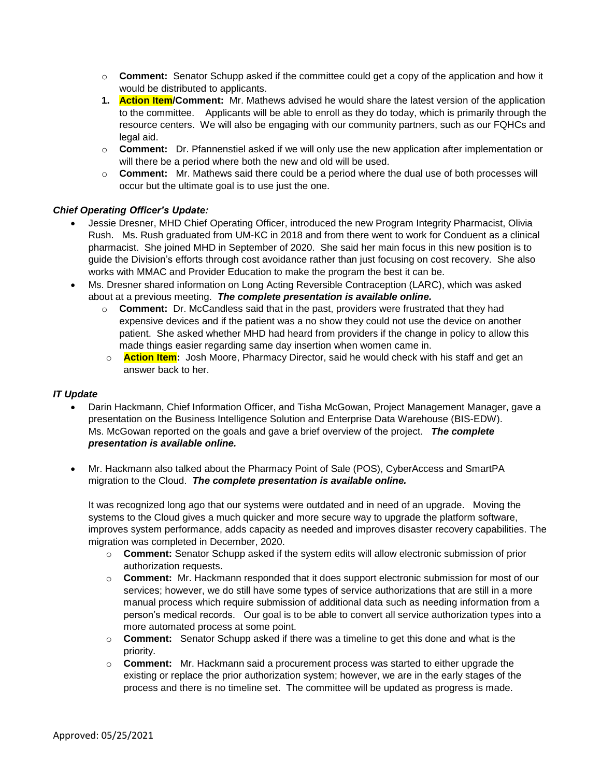- o **Comment:** Senator Schupp asked if the committee could get a copy of the application and how it would be distributed to applicants.
- **1. Action Item/Comment:** Mr. Mathews advised he would share the latest version of the application to the committee. Applicants will be able to enroll as they do today, which is primarily through the resource centers. We will also be engaging with our community partners, such as our FQHCs and legal aid.
- o **Comment:** Dr. Pfannenstiel asked if we will only use the new application after implementation or will there be a period where both the new and old will be used.
- o **Comment:** Mr. Mathews said there could be a period where the dual use of both processes will occur but the ultimate goal is to use just the one.

# *Chief Operating Officer's Update:*

- Jessie Dresner, MHD Chief Operating Officer, introduced the new Program Integrity Pharmacist, Olivia Rush. Ms. Rush graduated from UM-KC in 2018 and from there went to work for Conduent as a clinical pharmacist. She joined MHD in September of 2020. She said her main focus in this new position is to guide the Division's efforts through cost avoidance rather than just focusing on cost recovery. She also works with MMAC and Provider Education to make the program the best it can be.
- Ms. Dresner shared information on Long Acting Reversible Contraception (LARC), which was asked about at a previous meeting. *The complete presentation is available online.* 
	- o **Comment:** Dr. McCandless said that in the past, providers were frustrated that they had expensive devices and if the patient was a no show they could not use the device on another patient. She asked whether MHD had heard from providers if the change in policy to allow this made things easier regarding same day insertion when women came in.
	- o **Action Item:** Josh Moore, Pharmacy Director, said he would check with his staff and get an answer back to her.

## *IT Update*

- Darin Hackmann, Chief Information Officer, and Tisha McGowan, Project Management Manager, gave a presentation on the Business Intelligence Solution and Enterprise Data Warehouse (BIS-EDW). Ms. McGowan reported on the goals and gave a brief overview of the project. *The complete presentation is available online.*
- Mr. Hackmann also talked about the Pharmacy Point of Sale (POS), CyberAccess and SmartPA migration to the Cloud. *The complete presentation is available online.*

It was recognized long ago that our systems were outdated and in need of an upgrade. Moving the systems to the Cloud gives a much quicker and more secure way to upgrade the platform software, improves system performance, adds capacity as needed and improves disaster recovery capabilities. The migration was completed in December, 2020.

- o **Comment:** Senator Schupp asked if the system edits will allow electronic submission of prior authorization requests.
- o **Comment:**Mr. Hackmann responded that it does support electronic submission for most of our services; however, we do still have some types of service authorizations that are still in a more manual process which require submission of additional data such as needing information from a person's medical records. Our goal is to be able to convert all service authorization types into a more automated process at some point.
- o **Comment:** Senator Schupp asked if there was a timeline to get this done and what is the priority.
- o **Comment:**Mr. Hackmann said a procurement process was started to either upgrade the existing or replace the prior authorization system; however, we are in the early stages of the process and there is no timeline set. The committee will be updated as progress is made.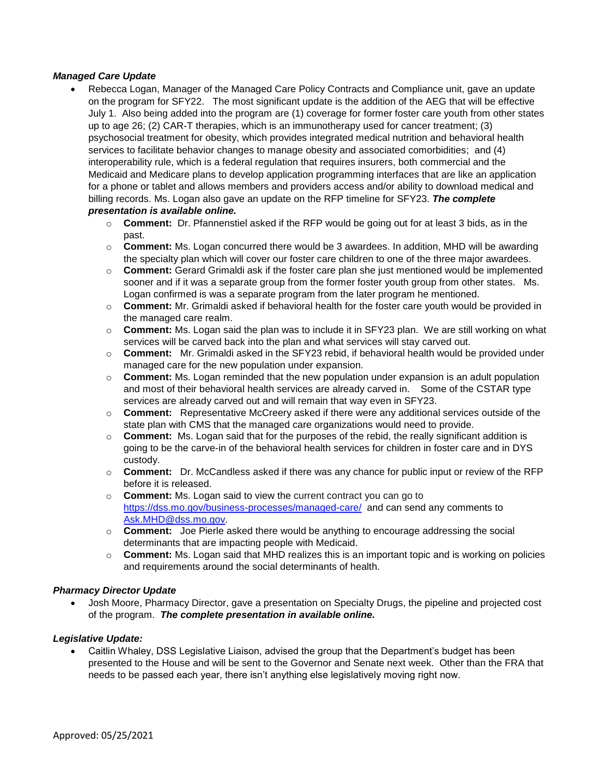#### *Managed Care Update*

- Rebecca Logan, Manager of the Managed Care Policy Contracts and Compliance unit, gave an update on the program for SFY22. The most significant update is the addition of the AEG that will be effective July 1. Also being added into the program are (1) coverage for former foster care youth from other states up to age 26; (2) CAR-T therapies, which is an immunotherapy used for cancer treatment; (3) psychosocial treatment for obesity, which provides integrated medical nutrition and behavioral health services to facilitate behavior changes to manage obesity and associated comorbidities; and (4) interoperability rule, which is a federal regulation that requires insurers, both commercial and the Medicaid and Medicare plans to develop application programming interfaces that are like an application for a phone or tablet and allows members and providers access and/or ability to download medical and billing records. Ms. Logan also gave an update on the RFP timeline for SFY23. *The complete presentation is available online.*
	- o **Comment:** Dr. Pfannenstiel asked if the RFP would be going out for at least 3 bids, as in the past.
	- o **Comment:** Ms. Logan concurred there would be 3 awardees. In addition, MHD will be awarding the specialty plan which will cover our foster care children to one of the three major awardees.
	- o **Comment:** Gerard Grimaldi ask if the foster care plan she just mentioned would be implemented sooner and if it was a separate group from the former foster youth group from other states. Ms. Logan confirmed is was a separate program from the later program he mentioned.
	- o **Comment:** Mr. Grimaldi asked if behavioral health for the foster care youth would be provided in the managed care realm.
	- o **Comment:** Ms. Logan said the plan was to include it in SFY23 plan. We are still working on what services will be carved back into the plan and what services will stay carved out.
	- o **Comment:** Mr. Grimaldi asked in the SFY23 rebid, if behavioral health would be provided under managed care for the new population under expansion.
	- o **Comment:** Ms. Logan reminded that the new population under expansion is an adult population and most of their behavioral health services are already carved in. Some of the CSTAR type services are already carved out and will remain that way even in SFY23.
	- o **Comment:** Representative McCreery asked if there were any additional services outside of the state plan with CMS that the managed care organizations would need to provide.
	- o **Comment:** Ms. Logan said that for the purposes of the rebid, the really significant addition is going to be the carve-in of the behavioral health services for children in foster care and in DYS custody.
	- o **Comment:** Dr. McCandless asked if there was any chance for public input or review of the RFP before it is released.
	- o **Comment:** Ms. Logan said to view the current contract you can go to <https://dss.mo.gov/business-processes/managed-care/>and can send any comments to [Ask.MHD@dss.mo.gov.](mailto:Ask.MHD@dss.mo.gov)
	- o **Comment:** Joe Pierle asked there would be anything to encourage addressing the social determinants that are impacting people with Medicaid.
	- o **Comment:** Ms. Logan said that MHD realizes this is an important topic and is working on policies and requirements around the social determinants of health.

#### *Pharmacy Director Update*

 Josh Moore, Pharmacy Director, gave a presentation on Specialty Drugs, the pipeline and projected cost of the program. *The complete presentation in available online.*

## *Legislative Update:*

 Caitlin Whaley, DSS Legislative Liaison, advised the group that the Department's budget has been presented to the House and will be sent to the Governor and Senate next week. Other than the FRA that needs to be passed each year, there isn't anything else legislatively moving right now.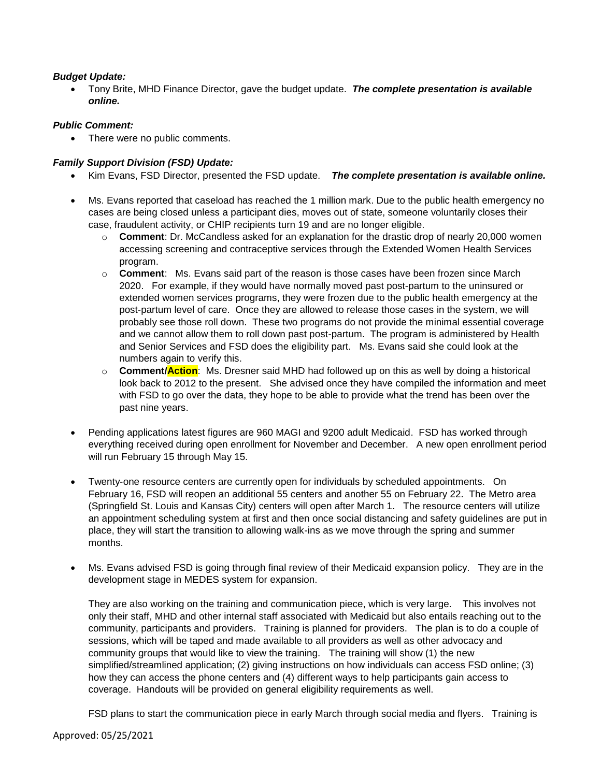## *Budget Update:*

 Tony Brite, MHD Finance Director, gave the budget update. *The complete presentation is available online.*

## *Public Comment:*

• There were no public comments.

# *Family Support Division (FSD) Update:*

- Kim Evans, FSD Director, presented the FSD update. *The complete presentation is available online.*
- Ms. Evans reported that caseload has reached the 1 million mark. Due to the public health emergency no cases are being closed unless a participant dies, moves out of state, someone voluntarily closes their case, fraudulent activity, or CHIP recipients turn 19 and are no longer eligible.
	- o **Comment**: Dr. McCandless asked for an explanation for the drastic drop of nearly 20,000 women accessing screening and contraceptive services through the Extended Women Health Services program.
	- o **Comment**: Ms. Evans said part of the reason is those cases have been frozen since March 2020. For example, if they would have normally moved past post-partum to the uninsured or extended women services programs, they were frozen due to the public health emergency at the post-partum level of care. Once they are allowed to release those cases in the system, we will probably see those roll down. These two programs do not provide the minimal essential coverage and we cannot allow them to roll down past post-partum. The program is administered by Health and Senior Services and FSD does the eligibility part. Ms. Evans said she could look at the numbers again to verify this.
	- o **Comment/Action**: Ms. Dresner said MHD had followed up on this as well by doing a historical look back to 2012 to the present. She advised once they have compiled the information and meet with FSD to go over the data, they hope to be able to provide what the trend has been over the past nine years.
- Pending applications latest figures are 960 MAGI and 9200 adult Medicaid. FSD has worked through everything received during open enrollment for November and December. A new open enrollment period will run February 15 through May 15.
- Twenty-one resource centers are currently open for individuals by scheduled appointments. On February 16, FSD will reopen an additional 55 centers and another 55 on February 22. The Metro area (Springfield St. Louis and Kansas City) centers will open after March 1. The resource centers will utilize an appointment scheduling system at first and then once social distancing and safety guidelines are put in place, they will start the transition to allowing walk-ins as we move through the spring and summer months.
- Ms. Evans advised FSD is going through final review of their Medicaid expansion policy. They are in the development stage in MEDES system for expansion.

They are also working on the training and communication piece, which is very large. This involves not only their staff, MHD and other internal staff associated with Medicaid but also entails reaching out to the community, participants and providers. Training is planned for providers. The plan is to do a couple of sessions, which will be taped and made available to all providers as well as other advocacy and community groups that would like to view the training. The training will show (1) the new simplified/streamlined application; (2) giving instructions on how individuals can access FSD online; (3) how they can access the phone centers and (4) different ways to help participants gain access to coverage. Handouts will be provided on general eligibility requirements as well.

FSD plans to start the communication piece in early March through social media and flyers. Training is